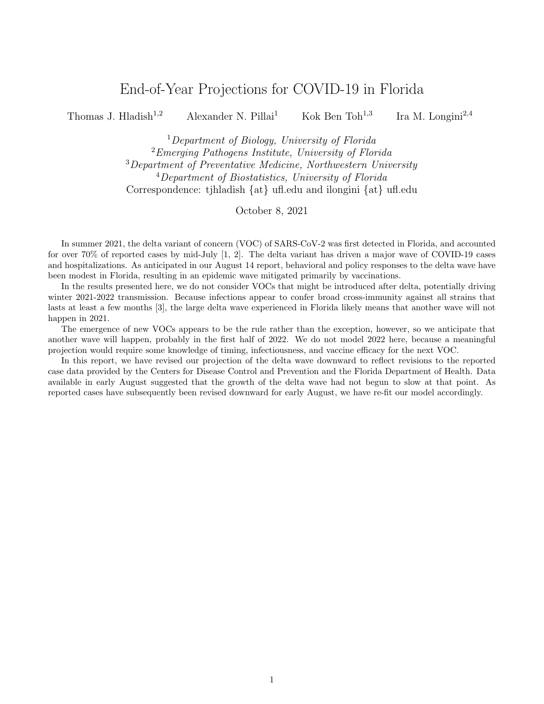## End-of-Year Projections for COVID-19 in Florida

Thomas J. Hladish<sup>1,2</sup> Alexander N. Pillai<sup>1</sup> Kok Ben Toh<sup>1,3</sup> Ira M. Longini<sup>2,4</sup>

<sup>1</sup>Department of Biology, University of Florida <sup>2</sup>Emerging Pathogens Institute, University of Florida <sup>3</sup>Department of Preventative Medicine, Northwestern University <sup>4</sup>Department of Biostatistics, University of Florida Correspondence: tjhladish {at} ufl.edu and ilongini {at} ufl.edu

October 8, 2021

In summer 2021, the delta variant of concern (VOC) of SARS-CoV-2 was first detected in Florida, and accounted for over 70% of reported cases by mid-July [1, 2]. The delta variant has driven a major wave of COVID-19 cases and hospitalizations. As anticipated in our August 14 report, behavioral and policy responses to the delta wave have been modest in Florida, resulting in an epidemic wave mitigated primarily by vaccinations.

In the results presented here, we do not consider VOCs that might be introduced after delta, potentially driving winter 2021-2022 transmission. Because infections appear to confer broad cross-immunity against all strains that lasts at least a few months [3], the large delta wave experienced in Florida likely means that another wave will not happen in 2021.

The emergence of new VOCs appears to be the rule rather than the exception, however, so we anticipate that another wave will happen, probably in the first half of 2022. We do not model 2022 here, because a meaningful projection would require some knowledge of timing, infectiousness, and vaccine efficacy for the next VOC.

In this report, we have revised our projection of the delta wave downward to reflect revisions to the reported case data provided by the Centers for Disease Control and Prevention and the Florida Department of Health. Data available in early August suggested that the growth of the delta wave had not begun to slow at that point. As reported cases have subsequently been revised downward for early August, we have re-fit our model accordingly.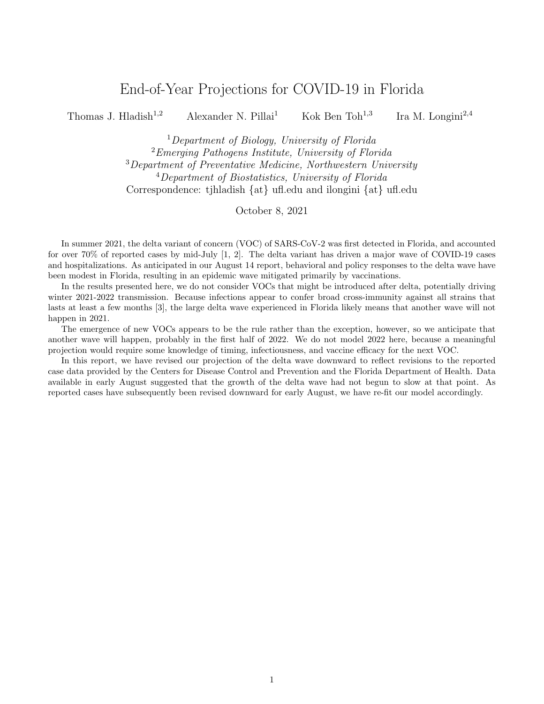## Results



Figure 1: Reported daily cases for Florida, modeled (yellow) compared to empirically reported cases in the state of Florida (black). Our August 14 report projected a peak of 33,000 reported cases per day for the entire state. Here we show a peak of 25,000 cases per day, or about 114 reported cases per day per 100,000 residents.



Figure 2: Reported weekly cases for Florida, modeled (yellow) compared to empirically reported cases in the state of Florida (black). Incomplete weeks in the reported data at the beginning and end of the time series have been omitted.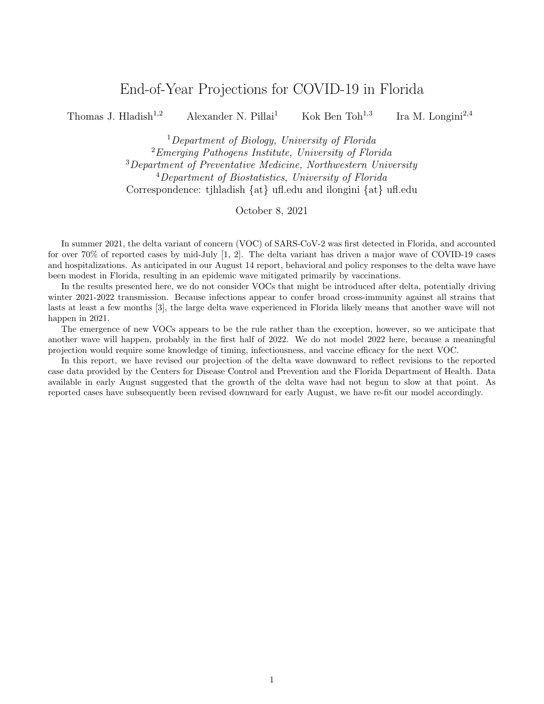

**Figure 3:** Time-varying reproduction number  $(R_t)$  measured from our model.  $R_t$  is the average number of infections that will be directly caused by each person infected on a given day. Note that  $R_t$  corresponds to how rapidly an epidemic is growing, and not when the most infections are reported, and thus is highest at roughly the halfway point during the growth phase of an epidemic wave. As long as  $R_t$  stays below 1, COVID-19 incidence will trend downward.



Figure 4: Total (both asymptomatic and symptomatic) infections for Florida from our model. Note that availability of testing and reporting lags have changed during the course of the pandemic; these effects are taken into account in, e.g., Fig. 2, but this figure assumes perfect, instantaneous detection of all infections. As a result, we see that the model suggests the summer 2020 and delta waves were actually similar in size, despite differences in reported cases.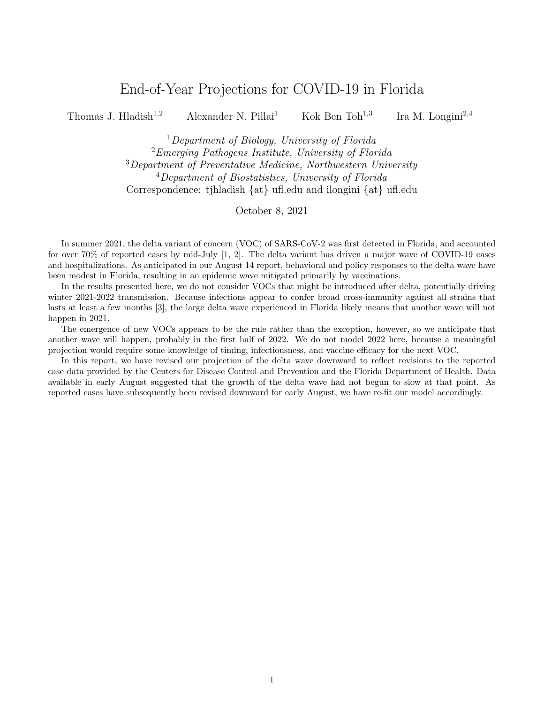

Figure 5: Reported daily deaths for Florida, modeled using the ABM (red) compared to empirically reported deaths in the state of Florida (black). Empirical death data transitioned from date of reporting to date of death beginning in June 2021, and thus, the empirical data has been truncated in order to maintain compatibility with model data streams.